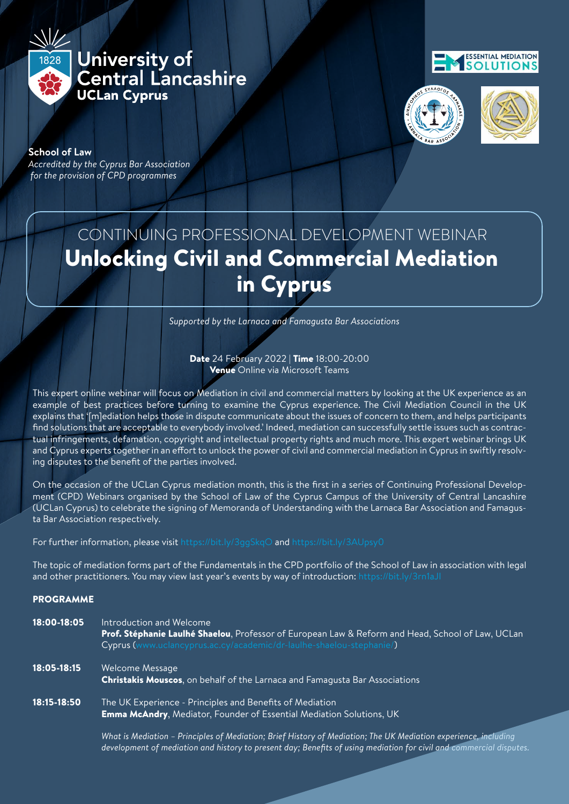University of **Central Lancashire** 

# **ESSENTIAL MEDIATION SOLUTIONS**



**School of Law** *Accredited by the Cyprus Bar Association for the provision of CPD programmes*

1828

# CONTINUING PROFESSIONAL DEVELOPMENT WEBINAR Unlocking Civil and Commercial Mediation in Cyprus

*Supported by the Larnaca and Famagusta Bar Associations*

Date 24 February 2022 | Time 18:00-20:00 Venue Online via Microsoft Tean

This expert online webinar will focus on Mediation in civil and commercia example of best practices before turning to examine the Cypru explains that '[m]ediation helps those in dispute communicate about the issues of concern find solutions that are acceptable to everybody involved.' Inde tual infringements, defamation, copyright and intellectual and Cyprus experts together in an effort to unlock the power of civil and commercial mediation in Cyp ing disputes to the benefit of the parties involved.

On the occasion of the UCLan Cyprus mediation month, this is the first in a series of Continuing ment (CPD) Webinars organised by the School of Law of the Cyprus Campus of the University (UCLan Cyprus) to celebrate the signing of Memoranda of Understanding with the Larnaca B ta Bar Association respectively.

For further information, please visit https://bit.ly/3qg\$kqO and https://bit.ly/3AUpsy

The topic of mediation forms part of the Fundamentals in the CPD portfolio of the S and other practitioners. You may view last year's events by way of introduction: https://bit.ly/3rn/aJI

PROGRAMME

| 18:00-18:05 | Introduction and Welcome<br>Reform and Head, School of Law, UCLan<br>Prof. Stéphanie Laulhé Shaelou, Professor of European L<br>Cyprus (www.uclancyprus.ac.cy/academic/dr-laul<br>shaelou-stephanie/ |
|-------------|------------------------------------------------------------------------------------------------------------------------------------------------------------------------------------------------------|
| 18:05-18:15 | Welcome Message<br><b>Christakis Mouscos, on behalf of the Larnaca and Famagusta Bar Associations</b>                                                                                                |
| 18:15-18:50 | The UK Experience - Principles and Benefits of<br><b>Emma McAndry, Mediator, Founder of Essential Mediation Solutions, UK</b>                                                                        |

 *What is Mediation – Principles of Mediation; Brief History of Mediation; The UK Mediation experience, including development of mediation and history to present day; Benefits of using mediation for civil and commercial dispute*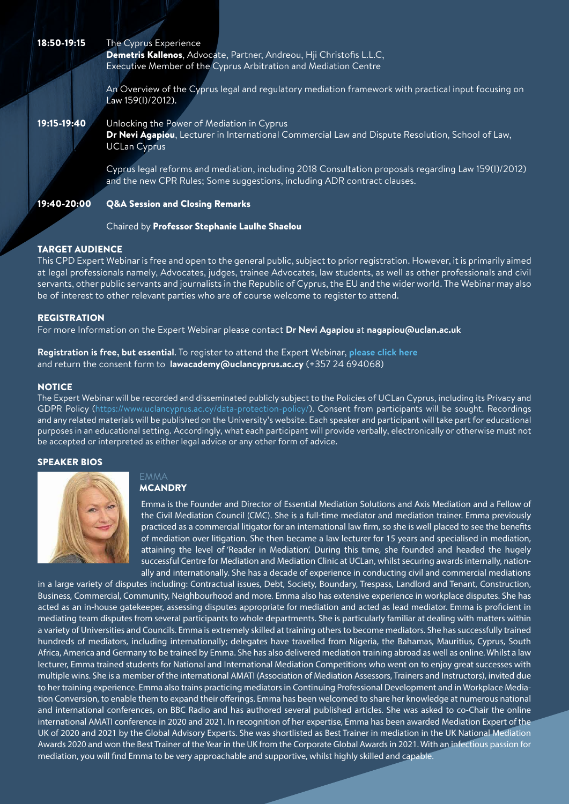### The Cyprus Experience

Chaired by Professor Stephanie Laulhe Shaelou

18:50-19:15

Law 159(I)/2012).

į

Demetris Kallenos, Advocate, Partner, Andreou, Hji Christofis L.L.C, Executive Member of the Cyprus Arbitration and Mediation Centre

and the new CPR Rules; Some suggestions, including ADR contract clauses.

 $A$  overview of the Cyprus legal and regulatory mediation framework with practical input focusing  $\mathcal{L}$ 

Dr Nevi Agapiou, Lecturer in International Commercial Law and Dispute Resolution, School of Law,

Cyprus legal reforms and mediation, including 2018 Consultation proposals regarding Law 159(I)/2012)

This computation is free and open to the general public, subject to prior registration. However, it is primarily aimed at legal professionals namely, Advocates, judges, trainee Advocates, law students, as well as other professionals and civil servants, other public servants and journalists in the Republic of Cyprus, the EU and the wider world. The Webinar may also

The Expert Webinar will be recorded and disseminated publicly subject to the Policies of UCLan Cyprus, including its Privacy and GDPR Policy (https://www.uclancyprus.ac.cy/data-protection-policy/). Consent from participants will be sought. Recordings and any related materials will be published on the University's website. Each speaker and participant will take part for educational purposes in an educational setting. Accordingly, what each participant will provide verbally, electronically or otherwise must not

For more Information on the Expert Webinar please contact **Dr Nevi Agapiou** at **nagapiou@uclan.ac.uk**

**Registration is free, but essential**. To register to attend the Expert Webinar, **[please click here](https://www.uclancyprus.ac.cy/wp-content/uploads/2022/02/Event_Unlocking-Mediation-Consent-Form_FINAL_24FebFill.pdf)**

and return the consent form to **lawacademy@uclancyprus.ac.cy** (+357 24 694068)

#### SPEAKER BIOS



#### **MCANDRY**

EMMA

be accepted or interpreted as either legal advice or any other form of advice.

Emma is the Founder and Director of Essential Mediation Solutions and Axi the Civil Mediation Council (CMC). She is a full-time mediator and mediat practiced as a commercial litigator for an international law firm, so she i of mediation over litigation. She then became a law lecturer for 15 years. attaining the level of 'Reader in Mediation'. During this time, she successful Centre for Mediation and Mediation Clinic at UCLan, while ally and internationally. She has a decade of experience in condu

in a large variety of disputes including: Contractual issues, Debt, Society, Boundary, Tre Business, Commercial, Community, Neighbourhood and more. Emma also has extensive acted as an in-house gatekeeper, assessing disputes appropriate for mediation and a mediating team disputes from several participants to whole departments. She is part a variety of Universities and Councils. Emma is extremely skilled at training others to hundreds of mediators, including internationally; delegates have travelled from Nigeria, the Bahamas, Mauritius, Cyprus, South Africa, America and Germany to be trained by Emma. She has also delivered mediation training abroad as well as online. Whilst a law lecturer, Emma trained students for National and International Mediation Competitions who went on to enjoy great successes with multiple wins. She is a member of the international AMATI (Association of Mediation Assessors, Trainers and Instructors), invited due to her training experience. Emma also trains practicing mediators in Continuing Professional Development and in Workplace Mediation Conversion, to enable them to expand their offerings. Emma has been welcomed to share her knowledge at numerous national and international conferences, on BBC Radio and has authored several published articles. She was asked to co-Chair the online international AMATI conference in 2020 and 2021. In recognition of her expertise, Emma has been awarded Mediation Expert of the UK of 2020 and 2021 by the Global Advisory Experts. She was shortlisted as Best Trainer in mediation in the UK National Mediation Awards 2020 and won the Best Trainer of the Year in the UK from the Corporate Global Awards in 2021. With an infectious passion for mediation, you will find Emma to be very approachable and supportive, whilst highly skilled and capable.